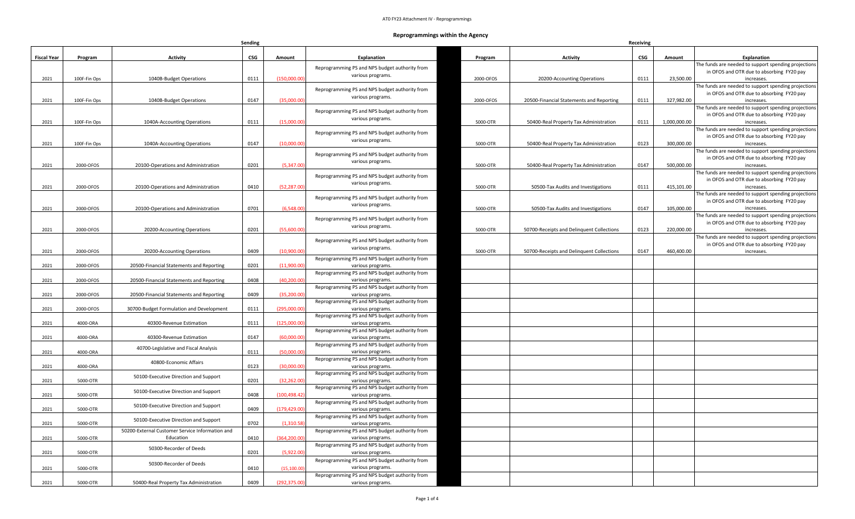## **Reprogrammings within the Agency**

|                    |              |                                                 | Sending |               |                                                                     | Receiving |                                           |      |              |                                                                                                   |
|--------------------|--------------|-------------------------------------------------|---------|---------------|---------------------------------------------------------------------|-----------|-------------------------------------------|------|--------------|---------------------------------------------------------------------------------------------------|
| <b>Fiscal Year</b> | Program      | <b>Activity</b>                                 | CSG     | Amount        | <b>Explanation</b>                                                  | Program   | <b>Activity</b>                           | CSG  | Amount       | <b>Explanation</b>                                                                                |
|                    |              |                                                 |         |               | Reprogramming PS and NPS budget authority from                      |           |                                           |      |              | The funds are needed to support spending projections                                              |
|                    |              |                                                 |         |               | various programs.                                                   |           |                                           |      |              | in OFOS and OTR due to absorbing FY20 pay                                                         |
| 2021               | 100F-Fin Ops | 1040B-Budget Operations                         | 0111    | (150,000.00)  |                                                                     | 2000-OFOS | 20200-Accounting Operations               | 0111 | 23,500.00    | increases.                                                                                        |
|                    |              |                                                 |         |               | Reprogramming PS and NPS budget authority from                      |           |                                           |      |              | The funds are needed to support spending projections<br>in OFOS and OTR due to absorbing FY20 pay |
| 2021               | 100F-Fin Ops | 1040B-Budget Operations                         | 0147    | (35,000.00)   | various programs.                                                   | 2000-OFOS | 20500-Financial Statements and Reporting  | 0111 | 327,982.00   | increases.                                                                                        |
|                    |              |                                                 |         |               |                                                                     |           |                                           |      |              | The funds are needed to support spending projections                                              |
|                    |              |                                                 |         |               | Reprogramming PS and NPS budget authority from                      |           |                                           |      |              | in OFOS and OTR due to absorbing FY20 pay                                                         |
| 2021               | 100F-Fin Ops | 1040A-Accounting Operations                     | 0111    | (15,000.00)   | various programs.                                                   | 5000-OTR  | 50400-Real Property Tax Administration    | 0111 | 1,000,000.00 | increases.                                                                                        |
|                    |              |                                                 |         |               | Reprogramming PS and NPS budget authority from                      |           |                                           |      |              | The funds are needed to support spending projections                                              |
|                    |              |                                                 |         |               | various programs.                                                   |           |                                           |      |              | in OFOS and OTR due to absorbing FY20 pay                                                         |
| 2021               | 100F-Fin Ops | 1040A-Accounting Operations                     | 0147    | (10,000.00)   |                                                                     | 5000-OTR  | 50400-Real Property Tax Administration    | 0123 | 300,000.00   | increases.<br>The funds are needed to support spending projections                                |
|                    |              |                                                 |         |               | Reprogramming PS and NPS budget authority from                      |           |                                           |      |              | in OFOS and OTR due to absorbing FY20 pay                                                         |
| 2021               | 2000-OFOS    | 20100-Operations and Administration             | 0201    | (5,347.00)    | various programs.                                                   | 5000-OTR  | 50400-Real Property Tax Administration    | 0147 | 500,000.00   | increases.                                                                                        |
|                    |              |                                                 |         |               |                                                                     |           |                                           |      |              | The funds are needed to support spending projections                                              |
|                    |              |                                                 |         |               | Reprogramming PS and NPS budget authority from<br>various programs. |           |                                           |      |              | in OFOS and OTR due to absorbing FY20 pay                                                         |
| 2021               | 2000-OFOS    | 20100-Operations and Administration             | 0410    | (52, 287.00)  |                                                                     | 5000-OTR  | 50500-Tax Audits and Investigations       | 0111 | 415,101.00   | increases.                                                                                        |
|                    |              |                                                 |         |               | Reprogramming PS and NPS budget authority from                      |           |                                           |      |              | The funds are needed to support spending projections                                              |
|                    | 2000-OFOS    |                                                 |         | (6,548.00)    | various programs.                                                   | 5000-OTR  |                                           | 0147 | 105,000.00   | in OFOS and OTR due to absorbing FY20 pay                                                         |
| 2021               |              | 20100-Operations and Administration             | 0701    |               |                                                                     |           | 50500-Tax Audits and Investigations       |      |              | increases.<br>The funds are needed to support spending projections                                |
|                    |              |                                                 |         |               | Reprogramming PS and NPS budget authority from                      |           |                                           |      |              | in OFOS and OTR due to absorbing FY20 pay                                                         |
| 2021               | 2000-OFOS    | 20200-Accounting Operations                     | 0201    | (55,600.00)   | various programs.                                                   | 5000-OTR  | 50700-Receipts and Delinquent Collections | 0123 | 220,000.00   | increases.                                                                                        |
|                    |              |                                                 |         |               |                                                                     |           |                                           |      |              | The funds are needed to support spending projections                                              |
|                    |              |                                                 |         |               | Reprogramming PS and NPS budget authority from<br>various programs. |           |                                           |      |              | in OFOS and OTR due to absorbing FY20 pay                                                         |
| 2021               | 2000-OFOS    | 20200-Accounting Operations                     | 0409    | (10,900.00)   |                                                                     | 5000-OTR  | 50700-Receipts and Delinguent Collections | 0147 | 460,400.00   | increases.                                                                                        |
|                    |              |                                                 |         |               | Reprogramming PS and NPS budget authority from                      |           |                                           |      |              |                                                                                                   |
| 2021               | 2000-OFOS    | 20500-Financial Statements and Reporting        | 0201    | (11,900.00)   | various programs.<br>Reprogramming PS and NPS budget authority from |           |                                           |      |              |                                                                                                   |
| 2021               | 2000-OFOS    | 20500-Financial Statements and Reporting        | 0408    | (40, 200.00)  | various programs.                                                   |           |                                           |      |              |                                                                                                   |
|                    |              |                                                 |         |               | Reprogramming PS and NPS budget authority from                      |           |                                           |      |              |                                                                                                   |
| 2021               | 2000-OFOS    | 20500-Financial Statements and Reporting        | 0409    | (35,200.00)   | various programs.                                                   |           |                                           |      |              |                                                                                                   |
|                    |              |                                                 |         |               | Reprogramming PS and NPS budget authority from                      |           |                                           |      |              |                                                                                                   |
| 2021               | 2000-OFOS    | 30700-Budget Formulation and Development        | 0111    | (295,000.00   | various programs.                                                   |           |                                           |      |              |                                                                                                   |
|                    |              |                                                 |         |               | Reprogramming PS and NPS budget authority from                      |           |                                           |      |              |                                                                                                   |
| 2021               | 4000-ORA     | 40300-Revenue Estimation                        | 0111    | (125,000.00)  | various programs.<br>Reprogramming PS and NPS budget authority from |           |                                           |      |              |                                                                                                   |
| 2021               | 4000-ORA     | 40300-Revenue Estimation                        | 0147    | (60,000.00)   | various programs.                                                   |           |                                           |      |              |                                                                                                   |
|                    |              |                                                 |         |               | Reprogramming PS and NPS budget authority from                      |           |                                           |      |              |                                                                                                   |
| 2021               | 4000-ORA     | 40700-Legislative and Fiscal Analysis           | 0111    | (50,000.00)   | various programs.                                                   |           |                                           |      |              |                                                                                                   |
|                    |              | 40800-Economic Affairs                          |         |               | Reprogramming PS and NPS budget authority from                      |           |                                           |      |              |                                                                                                   |
| 2021               | 4000-ORA     |                                                 | 0123    | (30,000.00)   | various programs.                                                   |           |                                           |      |              |                                                                                                   |
|                    |              | 50100-Executive Direction and Support           |         |               | Reprogramming PS and NPS budget authority from<br>various programs. |           |                                           |      |              |                                                                                                   |
| 2021               | 5000-OTR     |                                                 | 0201    | (32, 262.00)  | Reprogramming PS and NPS budget authority from                      |           |                                           |      |              |                                                                                                   |
| 2021               | 5000-OTR     | 50100-Executive Direction and Support           | 0408    | (100, 498.42) | various programs.                                                   |           |                                           |      |              |                                                                                                   |
|                    |              |                                                 |         |               | Reprogramming PS and NPS budget authority from                      |           |                                           |      |              |                                                                                                   |
| 2021               | 5000-OTR     | 50100-Executive Direction and Support           | 0409    | (179,429.00   | various programs.                                                   |           |                                           |      |              |                                                                                                   |
|                    |              | 50100-Executive Direction and Support           |         |               | Reprogramming PS and NPS budget authority from                      |           |                                           |      |              |                                                                                                   |
| 2021               | 5000-OTR     |                                                 | 0702    | (1,310.58)    | various programs.                                                   |           |                                           |      |              |                                                                                                   |
|                    |              | 50200-External Customer Service Information and |         |               | Reprogramming PS and NPS budget authority from                      |           |                                           |      |              |                                                                                                   |
| 2021               | 5000-OTR     | Education                                       | 0410    | (364, 200.00) | various programs.<br>Reprogramming PS and NPS budget authority from |           |                                           |      |              |                                                                                                   |
| 2021               | 5000-OTR     | 50300-Recorder of Deeds                         | 0201    | (5,922.00)    | various programs.                                                   |           |                                           |      |              |                                                                                                   |
|                    |              |                                                 |         |               | Reprogramming PS and NPS budget authority from                      |           |                                           |      |              |                                                                                                   |
| 2021               | 5000-OTR     | 50300-Recorder of Deeds                         | 0410    | (15, 100.0)   | various programs.                                                   |           |                                           |      |              |                                                                                                   |
|                    |              |                                                 |         |               | Reprogramming PS and NPS budget authority from                      |           |                                           |      |              |                                                                                                   |
| 2021               | 5000-OTR     | 50400-Real Property Tax Administration          | 0409    | (292, 375.00) | various programs.                                                   |           |                                           |      |              |                                                                                                   |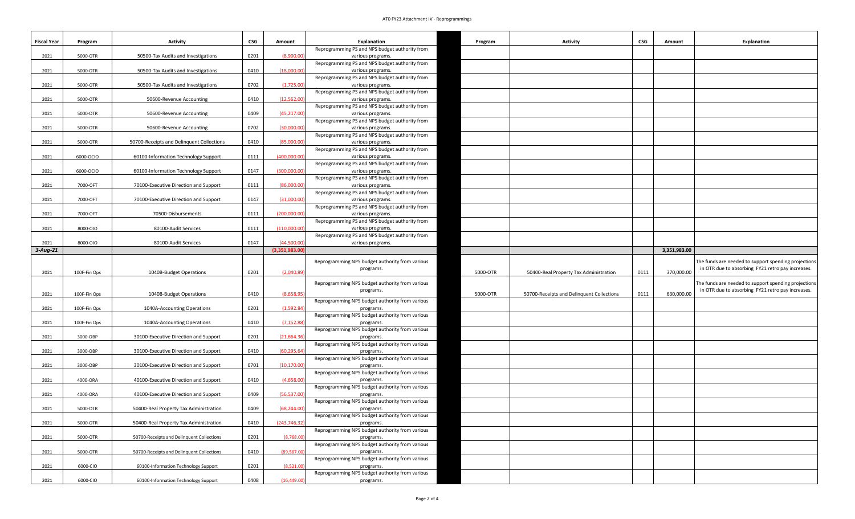## AT0 FY23 Attachment IV - Reprogrammings

| <b>Fiscal Year</b> | Program      | <b>Activity</b>                           | CSG  | Amount         | Explanation                                                         | Program  | <b>Activity</b>                           | CSG  | Amount       | <b>Explanation</b>                                   |
|--------------------|--------------|-------------------------------------------|------|----------------|---------------------------------------------------------------------|----------|-------------------------------------------|------|--------------|------------------------------------------------------|
|                    |              |                                           |      |                | Reprogramming PS and NPS budget authority from                      |          |                                           |      |              |                                                      |
| 2021               | 5000-OTR     | 50500-Tax Audits and Investigations       | 0201 | (8.900.00)     | various programs.<br>Reprogramming PS and NPS budget authority from |          |                                           |      |              |                                                      |
| 2021               | 5000-OTR     | 50500-Tax Audits and Investigations       | 0410 | (18,000.00)    | various programs.                                                   |          |                                           |      |              |                                                      |
|                    |              |                                           |      |                | Reprogramming PS and NPS budget authority from                      |          |                                           |      |              |                                                      |
| 2021               | 5000-OTR     | 50500-Tax Audits and Investigations       | 0702 | (1,725.00)     | various programs.                                                   |          |                                           |      |              |                                                      |
|                    |              |                                           |      |                | Reprogramming PS and NPS budget authority from                      |          |                                           |      |              |                                                      |
| 2021               | 5000-OTR     | 50600-Revenue Accounting                  | 0410 | (12,562.00)    | various programs.                                                   |          |                                           |      |              |                                                      |
|                    |              |                                           |      |                | Reprogramming PS and NPS budget authority from                      |          |                                           |      |              |                                                      |
| 2021               | 5000-OTR     | 50600-Revenue Accounting                  | 0409 | (45.217.00     | various programs.                                                   |          |                                           |      |              |                                                      |
|                    |              |                                           |      |                | Reprogramming PS and NPS budget authority from                      |          |                                           |      |              |                                                      |
| 2021               | 5000-OTR     | 50600-Revenue Accounting                  | 0702 | (30,000.0)     | various programs.                                                   |          |                                           |      |              |                                                      |
|                    |              |                                           |      |                | Reprogramming PS and NPS budget authority from                      |          |                                           |      |              |                                                      |
| 2021               | 5000-OTR     | 50700-Receipts and Delinquent Collections | 0410 | (85,000.00)    | various programs.                                                   |          |                                           |      |              |                                                      |
|                    |              |                                           |      |                | Reprogramming PS and NPS budget authority from                      |          |                                           |      |              |                                                      |
| 2021               | 6000-OCIO    | 60100-Information Technology Support      | 0111 | (400,000.00    | various programs.                                                   |          |                                           |      |              |                                                      |
|                    |              |                                           |      |                | Reprogramming PS and NPS budget authority from                      |          |                                           |      |              |                                                      |
| 2021               | 6000-OCIO    | 60100-Information Technology Support      | 0147 | (300,000.00)   | various programs.<br>Reprogramming PS and NPS budget authority from |          |                                           |      |              |                                                      |
| 2021               | 7000-OFT     | 70100-Executive Direction and Support     | 0111 | (86,000.00     | various programs.                                                   |          |                                           |      |              |                                                      |
|                    |              |                                           |      |                | Reprogramming PS and NPS budget authority from                      |          |                                           |      |              |                                                      |
| 2021               | 7000-OFT     | 70100-Executive Direction and Support     | 0147 | (31,000.00)    | various programs.                                                   |          |                                           |      |              |                                                      |
|                    |              |                                           |      |                | Reprogramming PS and NPS budget authority from                      |          |                                           |      |              |                                                      |
| 2021               | 7000-OFT     | 70500-Disbursements                       | 0111 | (200,000.0)    | various programs.                                                   |          |                                           |      |              |                                                      |
|                    |              |                                           |      |                | Reprogramming PS and NPS budget authority from                      |          |                                           |      |              |                                                      |
| 2021               | 8000-010     | 80100-Audit Services                      | 0111 | (110,000.00)   | various programs.                                                   |          |                                           |      |              |                                                      |
|                    |              |                                           |      |                | Reprogramming PS and NPS budget authority from                      |          |                                           |      |              |                                                      |
| 2021               | 8000-010     | 80100-Audit Services                      | 0147 | (44,500.00)    | various programs.                                                   |          |                                           |      |              |                                                      |
| $3$ -Aug-21        |              |                                           |      | (3,351,983.00) |                                                                     |          |                                           |      | 3,351,983.00 |                                                      |
|                    |              |                                           |      |                | Reprogramming NPS budget authority from various                     |          |                                           |      |              | The funds are needed to support spending projections |
|                    |              |                                           |      |                | programs.                                                           |          |                                           |      |              | in OTR due to absorbing FY21 retro pay increases.    |
| 2021               | 100F-Fin Ops | 1040B-Budget Operations                   | 0201 | (2,040.89)     |                                                                     | 5000-OTR | 50400-Real Property Tax Administration    | 0111 | 370,000.00   |                                                      |
|                    |              |                                           |      |                | Reprogramming NPS budget authority from various                     |          |                                           |      |              | The funds are needed to support spending projections |
|                    |              |                                           |      | (8,658.95)     | programs.                                                           |          |                                           | 0111 | 630,000.00   | in OTR due to absorbing FY21 retro pay increases.    |
| 2021               | 100F-Fin Ops | 1040B-Budget Operations                   | 0410 |                |                                                                     | 5000-OTR | 50700-Receipts and Delinquent Collections |      |              |                                                      |
| 2021               | 100F-Fin Ops | 1040A-Accounting Operations               | 0201 | (1,592.84)     | Reprogramming NPS budget authority from various<br>programs.        |          |                                           |      |              |                                                      |
|                    |              |                                           |      |                | Reprogramming NPS budget authority from various                     |          |                                           |      |              |                                                      |
| 2021               | 100F-Fin Ops | 1040A-Accounting Operations               | 0410 | (7, 152.88)    | programs.                                                           |          |                                           |      |              |                                                      |
|                    |              |                                           |      |                | Reprogramming NPS budget authority from various                     |          |                                           |      |              |                                                      |
| 2021               | 3000-OBP     | 30100-Executive Direction and Support     | 0201 | (21,664.36)    | programs.                                                           |          |                                           |      |              |                                                      |
|                    |              |                                           |      |                | Reprogramming NPS budget authority from various                     |          |                                           |      |              |                                                      |
| 2021               | 3000-OBP     | 30100-Executive Direction and Support     | 0410 | (60, 295.64)   | programs.                                                           |          |                                           |      |              |                                                      |
|                    |              |                                           |      |                | Reprogramming NPS budget authority from various                     |          |                                           |      |              |                                                      |
| 2021               | 3000-OBP     | 30100-Executive Direction and Support     | 0701 | (10, 170.00)   | programs.                                                           |          |                                           |      |              |                                                      |
|                    |              |                                           |      |                | Reprogramming NPS budget authority from various                     |          |                                           |      |              |                                                      |
| 2021               | 4000-ORA     | 40100-Executive Direction and Support     | 0410 | (4,658.00)     | programs.                                                           |          |                                           |      |              |                                                      |
| 2021               | 4000-ORA     | 40100-Executive Direction and Support     | 0409 | (56, 537.00)   | Reprogramming NPS budget authority from various                     |          |                                           |      |              |                                                      |
|                    |              |                                           |      |                | programs.<br>Reprogramming NPS budget authority from various        |          |                                           |      |              |                                                      |
| 2021               | 5000-OTR     | 50400-Real Property Tax Administration    | 0409 | (68.244.00)    | programs.                                                           |          |                                           |      |              |                                                      |
|                    |              |                                           |      |                | Reprogramming NPS budget authority from various                     |          |                                           |      |              |                                                      |
| 2021               | 5000-OTR     | 50400-Real Property Tax Administration    | 0410 | (243, 746.32)  | programs.                                                           |          |                                           |      |              |                                                      |
|                    |              |                                           |      |                | Reprogramming NPS budget authority from various                     |          |                                           |      |              |                                                      |
| 2021               | 5000-OTR     | 50700-Receipts and Delinquent Collections | 0201 | (8,768.00)     | programs.                                                           |          |                                           |      |              |                                                      |
|                    |              |                                           |      |                | Reprogramming NPS budget authority from various                     |          |                                           |      |              |                                                      |
| 2021               | 5000-OTR     | 50700-Receipts and Delinquent Collections | 0410 | (89,567.00     | programs.                                                           |          |                                           |      |              |                                                      |
|                    |              |                                           |      |                | Reprogramming NPS budget authority from various                     |          |                                           |      |              |                                                      |
| 2021               | 6000-CIO     | 60100-Information Technology Support      | 0201 | (8,521.00)     | programs.                                                           |          |                                           |      |              |                                                      |
|                    |              |                                           |      |                | Reprogramming NPS budget authority from various                     |          |                                           |      |              |                                                      |
| 2021               | 6000-CIO     | 60100-Information Technology Support      | 0408 | (16, 449.00)   | programs.                                                           |          |                                           |      |              |                                                      |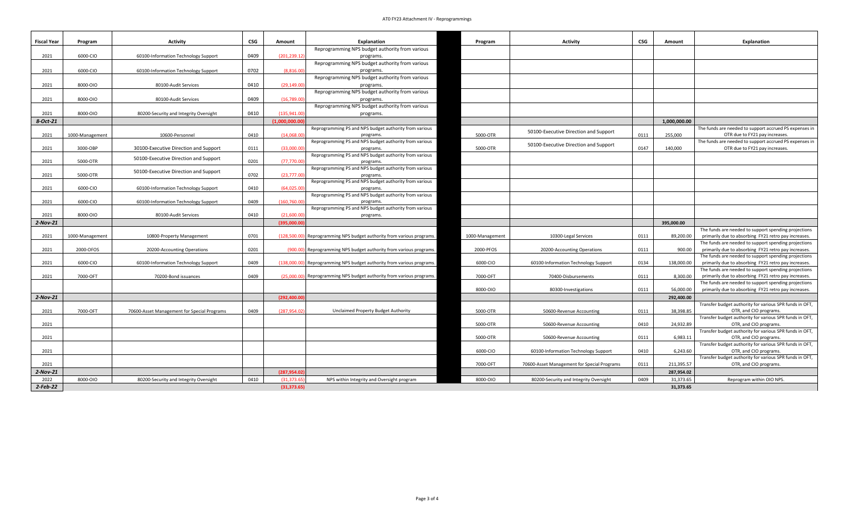## AT0 FY23 Attachment IV - Reprogrammings

| Reprogramming NPS budget authority from various<br>2021<br>6000-CIO<br>0409<br>(201.239.1<br>60100-Information Technology Support<br>programs.<br>Reprogramming NPS budget authority from various<br>2021<br>6000-CIO<br>0702<br>(8.816.0)<br>60100-Information Technology Support<br>programs.<br>Reprogramming NPS budget authority from various<br>2021<br>8000-010<br>0410<br>(29.149.0)<br>80100-Audit Services<br>programs.<br>Reprogramming NPS budget authority from various<br>0409<br>2021<br>8000-010<br>(16,789.0)<br>80100-Audit Services<br>programs.<br>Reprogramming NPS budget authority from various<br>2021<br>8000-010<br>0410<br>(135, 941.0<br>80200-Security and Integrity Oversight<br>programs.<br>$8-Oct-21$<br>(1.000.000.00<br>1.000.000.00<br>Reprogramming PS and NPS budget authority from various<br>The funds are needed to support accrued PS expenses in<br>50100-Executive Direction and Support<br>0410<br>(14,068.00)<br>5000-OTR<br>0111<br>OTR due to FY21 pay increases.<br>2021<br>1000-Management<br>10600-Personnel<br>255,000<br>programs<br>Reprogramming PS and NPS budget authority from various<br>The funds are needed to support accrued PS expenses in<br>50100-Executive Direction and Support<br>0147<br>2021<br>3000-OBP<br>30100-Executive Direction and Support<br>0111<br>(33,000.0)<br>5000-OTR<br>140,000<br>OTR due to FY21 pay increases<br>programs.<br>Reprogramming PS and NPS budget authority from various<br>50100-Executive Direction and Support<br>0201<br>2021<br>5000-OTR<br>(77, 770.0<br>programs.<br>Reprogramming PS and NPS budget authority from various<br>50100-Executive Direction and Support<br>2021<br>5000-OTR<br>0702<br>(23, 777.0)<br>programs.<br>Reprogramming PS and NPS budget authority from various<br>2021<br>6000-CIO<br>0410<br>(64.025.0)<br>60100-Information Technology Support<br>programs.<br>Reprogramming PS and NPS budget authority from various<br>2021<br>6000-CIO<br>60100-Information Technology Support<br>0409<br>(160, 760.00)<br>programs<br>Reprogramming PS and NPS budget authority from various<br>8000-010<br>0410<br>2021<br>80100-Audit Services<br>(21,600.0)<br>programs.<br>2-Nov-21<br>(395,000.0<br>395,000.00<br>The funds are needed to support spending projections<br>1000-Management<br>10800-Property Management<br>0701<br>Reprogramming NPS budget authority from various programs.<br>1000-Management<br>10300-Legal Services<br>0111<br>89,200.00<br>primarily due to absorbing FY21 retro pay increases.<br>2021<br>(128,500.00)<br>The funds are needed to support spending projections<br>2021<br>0111<br>2000-OFOS<br>20200-Accounting Operations<br>0201<br>(900.00)<br>Reprogramming NPS budget authority from various programs.<br>2000-PFOS<br>20200-Accounting Operations<br>900.00<br>primarily due to absorbing FY21 retro pay increases.<br>The funds are needed to support spending projections<br>2021<br>6000-CIO<br>60100-Information Technology Support<br>0409<br>(138,000.00)<br>6000-CIO<br>60100-Information Technology Support<br>0134<br>138,000.00<br>primarily due to absorbing FY21 retro pay increases.<br>Reprogramming NPS budget authority from various programs.<br>The funds are needed to support spending projections<br>primarily due to absorbing FY21 retro pay increases.<br>2021<br>7000-OFT<br>0409<br>(25.000.00)<br>Reprogramming NPS budget authority from various programs.<br>7000-OFT<br>0111<br>8,300.00<br>70200-Bond issuances<br>70400-Disbursements<br>The funds are needed to support spending projections<br>8000-010<br>0111<br>primarily due to absorbing FY21 retro pay increases.<br>80300-Investigations<br>56,000,00<br>$2-Nov-21$<br>(292, 400.00)<br>292,400.00<br>Transfer budget authority for various SPR funds in OFT,<br>2021<br>7000-OFT<br>0409<br>(287, 954.0)<br>5000-OTR<br>0111<br>38,398.85<br>70600-Asset Management for Special Programs<br>Unclaimed Property Budget Authority<br>OTR, and CIO programs.<br>50600-Revenue Accounting<br>Transfer budget authority for various SPR funds in OFT,<br>2021<br>5000-OTR<br>0410<br>24.932.89<br>OTR, and CIO programs.<br>50600-Revenue Accounting<br>Transfer budget authority for various SPR funds in OFT,<br>6,983.11<br>5000-OTR<br>0111<br>OTR, and CIO programs.<br>2021<br>50600-Revenue Accounting<br>Transfer budget authority for various SPR funds in OFT,<br>6.243.60<br>OTR, and CIO programs.<br>2021<br>6000-CIO<br>60100-Information Technology Support<br>0410<br>Transfer budget authority for various SPR funds in OFT,<br>7000-OFT<br>70600-Asset Management for Special Programs<br>0111<br>211,395.57<br>OTR, and CIO programs.<br>2021<br>2-Nov-21<br>(287,954.02<br>287,954.02<br>0409<br>31,373.65<br>2022<br>8000-010<br>0410<br>(31.373.6)<br>NPS within Integrity and Oversight program<br>8000-010<br>Reprogram within OIO NPS.<br>80200-Security and Integrity Oversight<br>80200-Security and Integrity Oversight<br>$2-Feb-22$<br>(31, 373.65)<br>31,373.65 | <b>Fiscal Year</b> | Program | <b>Activity</b> | CSG | Amount | <b>Explanation</b> | Program | Activity | CSG | Amount | <b>Explanation</b> |
|---------------------------------------------------------------------------------------------------------------------------------------------------------------------------------------------------------------------------------------------------------------------------------------------------------------------------------------------------------------------------------------------------------------------------------------------------------------------------------------------------------------------------------------------------------------------------------------------------------------------------------------------------------------------------------------------------------------------------------------------------------------------------------------------------------------------------------------------------------------------------------------------------------------------------------------------------------------------------------------------------------------------------------------------------------------------------------------------------------------------------------------------------------------------------------------------------------------------------------------------------------------------------------------------------------------------------------------------------------------------------------------------------------------------------------------------------------------------------------------------------------------------------------------------------------------------------------------------------------------------------------------------------------------------------------------------------------------------------------------------------------------------------------------------------------------------------------------------------------------------------------------------------------------------------------------------------------------------------------------------------------------------------------------------------------------------------------------------------------------------------------------------------------------------------------------------------------------------------------------------------------------------------------------------------------------------------------------------------------------------------------------------------------------------------------------------------------------------------------------------------------------------------------------------------------------------------------------------------------------------------------------------------------------------------------------------------------------------------------------------------------------------------------------------------------------------------------------------------------------------------------------------------------------------------------------------------------------------------------------------------------------------------------------------------------------------------------------------------------------------------------------------------------------------------------------------------------------------------------------------------------------------------------------------------------------------------------------------------------------------------------------------------------------------------------------------------------------------------------------------------------------------------------------------------------------------------------------------------------------------------------------------------------------------------------------------------------------------------------------------------------------------------------------------------------------------------------------------------------------------------------------------------------------------------------------------------------------------------------------------------------------------------------------------------------------------------------------------------------------------------------------------------------------------------------------------------------------------------------------------------------------------------------------------------------------------------------------------------------------------------------------------------------------------------------------------------------------------------------------------------------------------------------------------------------------------------------------------------------------------------------------------------------------------------------------------------------------------------------------------------------------------------------------------------------------------------------------------------------------------------------------------------------------------------------------------------------------------------------------------------------------------------------------------------------------|--------------------|---------|-----------------|-----|--------|--------------------|---------|----------|-----|--------|--------------------|
|                                                                                                                                                                                                                                                                                                                                                                                                                                                                                                                                                                                                                                                                                                                                                                                                                                                                                                                                                                                                                                                                                                                                                                                                                                                                                                                                                                                                                                                                                                                                                                                                                                                                                                                                                                                                                                                                                                                                                                                                                                                                                                                                                                                                                                                                                                                                                                                                                                                                                                                                                                                                                                                                                                                                                                                                                                                                                                                                                                                                                                                                                                                                                                                                                                                                                                                                                                                                                                                                                                                                                                                                                                                                                                                                                                                                                                                                                                                                                                                                                                                                                                                                                                                                                                                                                                                                                                                                                                                                                                                                                                                                                                                                                                                                                                                                                                                                                                                                                                                                                                                               |                    |         |                 |     |        |                    |         |          |     |        |                    |
|                                                                                                                                                                                                                                                                                                                                                                                                                                                                                                                                                                                                                                                                                                                                                                                                                                                                                                                                                                                                                                                                                                                                                                                                                                                                                                                                                                                                                                                                                                                                                                                                                                                                                                                                                                                                                                                                                                                                                                                                                                                                                                                                                                                                                                                                                                                                                                                                                                                                                                                                                                                                                                                                                                                                                                                                                                                                                                                                                                                                                                                                                                                                                                                                                                                                                                                                                                                                                                                                                                                                                                                                                                                                                                                                                                                                                                                                                                                                                                                                                                                                                                                                                                                                                                                                                                                                                                                                                                                                                                                                                                                                                                                                                                                                                                                                                                                                                                                                                                                                                                                               |                    |         |                 |     |        |                    |         |          |     |        |                    |
|                                                                                                                                                                                                                                                                                                                                                                                                                                                                                                                                                                                                                                                                                                                                                                                                                                                                                                                                                                                                                                                                                                                                                                                                                                                                                                                                                                                                                                                                                                                                                                                                                                                                                                                                                                                                                                                                                                                                                                                                                                                                                                                                                                                                                                                                                                                                                                                                                                                                                                                                                                                                                                                                                                                                                                                                                                                                                                                                                                                                                                                                                                                                                                                                                                                                                                                                                                                                                                                                                                                                                                                                                                                                                                                                                                                                                                                                                                                                                                                                                                                                                                                                                                                                                                                                                                                                                                                                                                                                                                                                                                                                                                                                                                                                                                                                                                                                                                                                                                                                                                                               |                    |         |                 |     |        |                    |         |          |     |        |                    |
|                                                                                                                                                                                                                                                                                                                                                                                                                                                                                                                                                                                                                                                                                                                                                                                                                                                                                                                                                                                                                                                                                                                                                                                                                                                                                                                                                                                                                                                                                                                                                                                                                                                                                                                                                                                                                                                                                                                                                                                                                                                                                                                                                                                                                                                                                                                                                                                                                                                                                                                                                                                                                                                                                                                                                                                                                                                                                                                                                                                                                                                                                                                                                                                                                                                                                                                                                                                                                                                                                                                                                                                                                                                                                                                                                                                                                                                                                                                                                                                                                                                                                                                                                                                                                                                                                                                                                                                                                                                                                                                                                                                                                                                                                                                                                                                                                                                                                                                                                                                                                                                               |                    |         |                 |     |        |                    |         |          |     |        |                    |
|                                                                                                                                                                                                                                                                                                                                                                                                                                                                                                                                                                                                                                                                                                                                                                                                                                                                                                                                                                                                                                                                                                                                                                                                                                                                                                                                                                                                                                                                                                                                                                                                                                                                                                                                                                                                                                                                                                                                                                                                                                                                                                                                                                                                                                                                                                                                                                                                                                                                                                                                                                                                                                                                                                                                                                                                                                                                                                                                                                                                                                                                                                                                                                                                                                                                                                                                                                                                                                                                                                                                                                                                                                                                                                                                                                                                                                                                                                                                                                                                                                                                                                                                                                                                                                                                                                                                                                                                                                                                                                                                                                                                                                                                                                                                                                                                                                                                                                                                                                                                                                                               |                    |         |                 |     |        |                    |         |          |     |        |                    |
|                                                                                                                                                                                                                                                                                                                                                                                                                                                                                                                                                                                                                                                                                                                                                                                                                                                                                                                                                                                                                                                                                                                                                                                                                                                                                                                                                                                                                                                                                                                                                                                                                                                                                                                                                                                                                                                                                                                                                                                                                                                                                                                                                                                                                                                                                                                                                                                                                                                                                                                                                                                                                                                                                                                                                                                                                                                                                                                                                                                                                                                                                                                                                                                                                                                                                                                                                                                                                                                                                                                                                                                                                                                                                                                                                                                                                                                                                                                                                                                                                                                                                                                                                                                                                                                                                                                                                                                                                                                                                                                                                                                                                                                                                                                                                                                                                                                                                                                                                                                                                                                               |                    |         |                 |     |        |                    |         |          |     |        |                    |
|                                                                                                                                                                                                                                                                                                                                                                                                                                                                                                                                                                                                                                                                                                                                                                                                                                                                                                                                                                                                                                                                                                                                                                                                                                                                                                                                                                                                                                                                                                                                                                                                                                                                                                                                                                                                                                                                                                                                                                                                                                                                                                                                                                                                                                                                                                                                                                                                                                                                                                                                                                                                                                                                                                                                                                                                                                                                                                                                                                                                                                                                                                                                                                                                                                                                                                                                                                                                                                                                                                                                                                                                                                                                                                                                                                                                                                                                                                                                                                                                                                                                                                                                                                                                                                                                                                                                                                                                                                                                                                                                                                                                                                                                                                                                                                                                                                                                                                                                                                                                                                                               |                    |         |                 |     |        |                    |         |          |     |        |                    |
|                                                                                                                                                                                                                                                                                                                                                                                                                                                                                                                                                                                                                                                                                                                                                                                                                                                                                                                                                                                                                                                                                                                                                                                                                                                                                                                                                                                                                                                                                                                                                                                                                                                                                                                                                                                                                                                                                                                                                                                                                                                                                                                                                                                                                                                                                                                                                                                                                                                                                                                                                                                                                                                                                                                                                                                                                                                                                                                                                                                                                                                                                                                                                                                                                                                                                                                                                                                                                                                                                                                                                                                                                                                                                                                                                                                                                                                                                                                                                                                                                                                                                                                                                                                                                                                                                                                                                                                                                                                                                                                                                                                                                                                                                                                                                                                                                                                                                                                                                                                                                                                               |                    |         |                 |     |        |                    |         |          |     |        |                    |
|                                                                                                                                                                                                                                                                                                                                                                                                                                                                                                                                                                                                                                                                                                                                                                                                                                                                                                                                                                                                                                                                                                                                                                                                                                                                                                                                                                                                                                                                                                                                                                                                                                                                                                                                                                                                                                                                                                                                                                                                                                                                                                                                                                                                                                                                                                                                                                                                                                                                                                                                                                                                                                                                                                                                                                                                                                                                                                                                                                                                                                                                                                                                                                                                                                                                                                                                                                                                                                                                                                                                                                                                                                                                                                                                                                                                                                                                                                                                                                                                                                                                                                                                                                                                                                                                                                                                                                                                                                                                                                                                                                                                                                                                                                                                                                                                                                                                                                                                                                                                                                                               |                    |         |                 |     |        |                    |         |          |     |        |                    |
|                                                                                                                                                                                                                                                                                                                                                                                                                                                                                                                                                                                                                                                                                                                                                                                                                                                                                                                                                                                                                                                                                                                                                                                                                                                                                                                                                                                                                                                                                                                                                                                                                                                                                                                                                                                                                                                                                                                                                                                                                                                                                                                                                                                                                                                                                                                                                                                                                                                                                                                                                                                                                                                                                                                                                                                                                                                                                                                                                                                                                                                                                                                                                                                                                                                                                                                                                                                                                                                                                                                                                                                                                                                                                                                                                                                                                                                                                                                                                                                                                                                                                                                                                                                                                                                                                                                                                                                                                                                                                                                                                                                                                                                                                                                                                                                                                                                                                                                                                                                                                                                               |                    |         |                 |     |        |                    |         |          |     |        |                    |
|                                                                                                                                                                                                                                                                                                                                                                                                                                                                                                                                                                                                                                                                                                                                                                                                                                                                                                                                                                                                                                                                                                                                                                                                                                                                                                                                                                                                                                                                                                                                                                                                                                                                                                                                                                                                                                                                                                                                                                                                                                                                                                                                                                                                                                                                                                                                                                                                                                                                                                                                                                                                                                                                                                                                                                                                                                                                                                                                                                                                                                                                                                                                                                                                                                                                                                                                                                                                                                                                                                                                                                                                                                                                                                                                                                                                                                                                                                                                                                                                                                                                                                                                                                                                                                                                                                                                                                                                                                                                                                                                                                                                                                                                                                                                                                                                                                                                                                                                                                                                                                                               |                    |         |                 |     |        |                    |         |          |     |        |                    |
|                                                                                                                                                                                                                                                                                                                                                                                                                                                                                                                                                                                                                                                                                                                                                                                                                                                                                                                                                                                                                                                                                                                                                                                                                                                                                                                                                                                                                                                                                                                                                                                                                                                                                                                                                                                                                                                                                                                                                                                                                                                                                                                                                                                                                                                                                                                                                                                                                                                                                                                                                                                                                                                                                                                                                                                                                                                                                                                                                                                                                                                                                                                                                                                                                                                                                                                                                                                                                                                                                                                                                                                                                                                                                                                                                                                                                                                                                                                                                                                                                                                                                                                                                                                                                                                                                                                                                                                                                                                                                                                                                                                                                                                                                                                                                                                                                                                                                                                                                                                                                                                               |                    |         |                 |     |        |                    |         |          |     |        |                    |
|                                                                                                                                                                                                                                                                                                                                                                                                                                                                                                                                                                                                                                                                                                                                                                                                                                                                                                                                                                                                                                                                                                                                                                                                                                                                                                                                                                                                                                                                                                                                                                                                                                                                                                                                                                                                                                                                                                                                                                                                                                                                                                                                                                                                                                                                                                                                                                                                                                                                                                                                                                                                                                                                                                                                                                                                                                                                                                                                                                                                                                                                                                                                                                                                                                                                                                                                                                                                                                                                                                                                                                                                                                                                                                                                                                                                                                                                                                                                                                                                                                                                                                                                                                                                                                                                                                                                                                                                                                                                                                                                                                                                                                                                                                                                                                                                                                                                                                                                                                                                                                                               |                    |         |                 |     |        |                    |         |          |     |        |                    |
|                                                                                                                                                                                                                                                                                                                                                                                                                                                                                                                                                                                                                                                                                                                                                                                                                                                                                                                                                                                                                                                                                                                                                                                                                                                                                                                                                                                                                                                                                                                                                                                                                                                                                                                                                                                                                                                                                                                                                                                                                                                                                                                                                                                                                                                                                                                                                                                                                                                                                                                                                                                                                                                                                                                                                                                                                                                                                                                                                                                                                                                                                                                                                                                                                                                                                                                                                                                                                                                                                                                                                                                                                                                                                                                                                                                                                                                                                                                                                                                                                                                                                                                                                                                                                                                                                                                                                                                                                                                                                                                                                                                                                                                                                                                                                                                                                                                                                                                                                                                                                                                               |                    |         |                 |     |        |                    |         |          |     |        |                    |
|                                                                                                                                                                                                                                                                                                                                                                                                                                                                                                                                                                                                                                                                                                                                                                                                                                                                                                                                                                                                                                                                                                                                                                                                                                                                                                                                                                                                                                                                                                                                                                                                                                                                                                                                                                                                                                                                                                                                                                                                                                                                                                                                                                                                                                                                                                                                                                                                                                                                                                                                                                                                                                                                                                                                                                                                                                                                                                                                                                                                                                                                                                                                                                                                                                                                                                                                                                                                                                                                                                                                                                                                                                                                                                                                                                                                                                                                                                                                                                                                                                                                                                                                                                                                                                                                                                                                                                                                                                                                                                                                                                                                                                                                                                                                                                                                                                                                                                                                                                                                                                                               |                    |         |                 |     |        |                    |         |          |     |        |                    |
|                                                                                                                                                                                                                                                                                                                                                                                                                                                                                                                                                                                                                                                                                                                                                                                                                                                                                                                                                                                                                                                                                                                                                                                                                                                                                                                                                                                                                                                                                                                                                                                                                                                                                                                                                                                                                                                                                                                                                                                                                                                                                                                                                                                                                                                                                                                                                                                                                                                                                                                                                                                                                                                                                                                                                                                                                                                                                                                                                                                                                                                                                                                                                                                                                                                                                                                                                                                                                                                                                                                                                                                                                                                                                                                                                                                                                                                                                                                                                                                                                                                                                                                                                                                                                                                                                                                                                                                                                                                                                                                                                                                                                                                                                                                                                                                                                                                                                                                                                                                                                                                               |                    |         |                 |     |        |                    |         |          |     |        |                    |
|                                                                                                                                                                                                                                                                                                                                                                                                                                                                                                                                                                                                                                                                                                                                                                                                                                                                                                                                                                                                                                                                                                                                                                                                                                                                                                                                                                                                                                                                                                                                                                                                                                                                                                                                                                                                                                                                                                                                                                                                                                                                                                                                                                                                                                                                                                                                                                                                                                                                                                                                                                                                                                                                                                                                                                                                                                                                                                                                                                                                                                                                                                                                                                                                                                                                                                                                                                                                                                                                                                                                                                                                                                                                                                                                                                                                                                                                                                                                                                                                                                                                                                                                                                                                                                                                                                                                                                                                                                                                                                                                                                                                                                                                                                                                                                                                                                                                                                                                                                                                                                                               |                    |         |                 |     |        |                    |         |          |     |        |                    |
|                                                                                                                                                                                                                                                                                                                                                                                                                                                                                                                                                                                                                                                                                                                                                                                                                                                                                                                                                                                                                                                                                                                                                                                                                                                                                                                                                                                                                                                                                                                                                                                                                                                                                                                                                                                                                                                                                                                                                                                                                                                                                                                                                                                                                                                                                                                                                                                                                                                                                                                                                                                                                                                                                                                                                                                                                                                                                                                                                                                                                                                                                                                                                                                                                                                                                                                                                                                                                                                                                                                                                                                                                                                                                                                                                                                                                                                                                                                                                                                                                                                                                                                                                                                                                                                                                                                                                                                                                                                                                                                                                                                                                                                                                                                                                                                                                                                                                                                                                                                                                                                               |                    |         |                 |     |        |                    |         |          |     |        |                    |
|                                                                                                                                                                                                                                                                                                                                                                                                                                                                                                                                                                                                                                                                                                                                                                                                                                                                                                                                                                                                                                                                                                                                                                                                                                                                                                                                                                                                                                                                                                                                                                                                                                                                                                                                                                                                                                                                                                                                                                                                                                                                                                                                                                                                                                                                                                                                                                                                                                                                                                                                                                                                                                                                                                                                                                                                                                                                                                                                                                                                                                                                                                                                                                                                                                                                                                                                                                                                                                                                                                                                                                                                                                                                                                                                                                                                                                                                                                                                                                                                                                                                                                                                                                                                                                                                                                                                                                                                                                                                                                                                                                                                                                                                                                                                                                                                                                                                                                                                                                                                                                                               |                    |         |                 |     |        |                    |         |          |     |        |                    |
|                                                                                                                                                                                                                                                                                                                                                                                                                                                                                                                                                                                                                                                                                                                                                                                                                                                                                                                                                                                                                                                                                                                                                                                                                                                                                                                                                                                                                                                                                                                                                                                                                                                                                                                                                                                                                                                                                                                                                                                                                                                                                                                                                                                                                                                                                                                                                                                                                                                                                                                                                                                                                                                                                                                                                                                                                                                                                                                                                                                                                                                                                                                                                                                                                                                                                                                                                                                                                                                                                                                                                                                                                                                                                                                                                                                                                                                                                                                                                                                                                                                                                                                                                                                                                                                                                                                                                                                                                                                                                                                                                                                                                                                                                                                                                                                                                                                                                                                                                                                                                                                               |                    |         |                 |     |        |                    |         |          |     |        |                    |
|                                                                                                                                                                                                                                                                                                                                                                                                                                                                                                                                                                                                                                                                                                                                                                                                                                                                                                                                                                                                                                                                                                                                                                                                                                                                                                                                                                                                                                                                                                                                                                                                                                                                                                                                                                                                                                                                                                                                                                                                                                                                                                                                                                                                                                                                                                                                                                                                                                                                                                                                                                                                                                                                                                                                                                                                                                                                                                                                                                                                                                                                                                                                                                                                                                                                                                                                                                                                                                                                                                                                                                                                                                                                                                                                                                                                                                                                                                                                                                                                                                                                                                                                                                                                                                                                                                                                                                                                                                                                                                                                                                                                                                                                                                                                                                                                                                                                                                                                                                                                                                                               |                    |         |                 |     |        |                    |         |          |     |        |                    |
|                                                                                                                                                                                                                                                                                                                                                                                                                                                                                                                                                                                                                                                                                                                                                                                                                                                                                                                                                                                                                                                                                                                                                                                                                                                                                                                                                                                                                                                                                                                                                                                                                                                                                                                                                                                                                                                                                                                                                                                                                                                                                                                                                                                                                                                                                                                                                                                                                                                                                                                                                                                                                                                                                                                                                                                                                                                                                                                                                                                                                                                                                                                                                                                                                                                                                                                                                                                                                                                                                                                                                                                                                                                                                                                                                                                                                                                                                                                                                                                                                                                                                                                                                                                                                                                                                                                                                                                                                                                                                                                                                                                                                                                                                                                                                                                                                                                                                                                                                                                                                                                               |                    |         |                 |     |        |                    |         |          |     |        |                    |
|                                                                                                                                                                                                                                                                                                                                                                                                                                                                                                                                                                                                                                                                                                                                                                                                                                                                                                                                                                                                                                                                                                                                                                                                                                                                                                                                                                                                                                                                                                                                                                                                                                                                                                                                                                                                                                                                                                                                                                                                                                                                                                                                                                                                                                                                                                                                                                                                                                                                                                                                                                                                                                                                                                                                                                                                                                                                                                                                                                                                                                                                                                                                                                                                                                                                                                                                                                                                                                                                                                                                                                                                                                                                                                                                                                                                                                                                                                                                                                                                                                                                                                                                                                                                                                                                                                                                                                                                                                                                                                                                                                                                                                                                                                                                                                                                                                                                                                                                                                                                                                                               |                    |         |                 |     |        |                    |         |          |     |        |                    |
|                                                                                                                                                                                                                                                                                                                                                                                                                                                                                                                                                                                                                                                                                                                                                                                                                                                                                                                                                                                                                                                                                                                                                                                                                                                                                                                                                                                                                                                                                                                                                                                                                                                                                                                                                                                                                                                                                                                                                                                                                                                                                                                                                                                                                                                                                                                                                                                                                                                                                                                                                                                                                                                                                                                                                                                                                                                                                                                                                                                                                                                                                                                                                                                                                                                                                                                                                                                                                                                                                                                                                                                                                                                                                                                                                                                                                                                                                                                                                                                                                                                                                                                                                                                                                                                                                                                                                                                                                                                                                                                                                                                                                                                                                                                                                                                                                                                                                                                                                                                                                                                               |                    |         |                 |     |        |                    |         |          |     |        |                    |
|                                                                                                                                                                                                                                                                                                                                                                                                                                                                                                                                                                                                                                                                                                                                                                                                                                                                                                                                                                                                                                                                                                                                                                                                                                                                                                                                                                                                                                                                                                                                                                                                                                                                                                                                                                                                                                                                                                                                                                                                                                                                                                                                                                                                                                                                                                                                                                                                                                                                                                                                                                                                                                                                                                                                                                                                                                                                                                                                                                                                                                                                                                                                                                                                                                                                                                                                                                                                                                                                                                                                                                                                                                                                                                                                                                                                                                                                                                                                                                                                                                                                                                                                                                                                                                                                                                                                                                                                                                                                                                                                                                                                                                                                                                                                                                                                                                                                                                                                                                                                                                                               |                    |         |                 |     |        |                    |         |          |     |        |                    |
|                                                                                                                                                                                                                                                                                                                                                                                                                                                                                                                                                                                                                                                                                                                                                                                                                                                                                                                                                                                                                                                                                                                                                                                                                                                                                                                                                                                                                                                                                                                                                                                                                                                                                                                                                                                                                                                                                                                                                                                                                                                                                                                                                                                                                                                                                                                                                                                                                                                                                                                                                                                                                                                                                                                                                                                                                                                                                                                                                                                                                                                                                                                                                                                                                                                                                                                                                                                                                                                                                                                                                                                                                                                                                                                                                                                                                                                                                                                                                                                                                                                                                                                                                                                                                                                                                                                                                                                                                                                                                                                                                                                                                                                                                                                                                                                                                                                                                                                                                                                                                                                               |                    |         |                 |     |        |                    |         |          |     |        |                    |
|                                                                                                                                                                                                                                                                                                                                                                                                                                                                                                                                                                                                                                                                                                                                                                                                                                                                                                                                                                                                                                                                                                                                                                                                                                                                                                                                                                                                                                                                                                                                                                                                                                                                                                                                                                                                                                                                                                                                                                                                                                                                                                                                                                                                                                                                                                                                                                                                                                                                                                                                                                                                                                                                                                                                                                                                                                                                                                                                                                                                                                                                                                                                                                                                                                                                                                                                                                                                                                                                                                                                                                                                                                                                                                                                                                                                                                                                                                                                                                                                                                                                                                                                                                                                                                                                                                                                                                                                                                                                                                                                                                                                                                                                                                                                                                                                                                                                                                                                                                                                                                                               |                    |         |                 |     |        |                    |         |          |     |        |                    |
|                                                                                                                                                                                                                                                                                                                                                                                                                                                                                                                                                                                                                                                                                                                                                                                                                                                                                                                                                                                                                                                                                                                                                                                                                                                                                                                                                                                                                                                                                                                                                                                                                                                                                                                                                                                                                                                                                                                                                                                                                                                                                                                                                                                                                                                                                                                                                                                                                                                                                                                                                                                                                                                                                                                                                                                                                                                                                                                                                                                                                                                                                                                                                                                                                                                                                                                                                                                                                                                                                                                                                                                                                                                                                                                                                                                                                                                                                                                                                                                                                                                                                                                                                                                                                                                                                                                                                                                                                                                                                                                                                                                                                                                                                                                                                                                                                                                                                                                                                                                                                                                               |                    |         |                 |     |        |                    |         |          |     |        |                    |
|                                                                                                                                                                                                                                                                                                                                                                                                                                                                                                                                                                                                                                                                                                                                                                                                                                                                                                                                                                                                                                                                                                                                                                                                                                                                                                                                                                                                                                                                                                                                                                                                                                                                                                                                                                                                                                                                                                                                                                                                                                                                                                                                                                                                                                                                                                                                                                                                                                                                                                                                                                                                                                                                                                                                                                                                                                                                                                                                                                                                                                                                                                                                                                                                                                                                                                                                                                                                                                                                                                                                                                                                                                                                                                                                                                                                                                                                                                                                                                                                                                                                                                                                                                                                                                                                                                                                                                                                                                                                                                                                                                                                                                                                                                                                                                                                                                                                                                                                                                                                                                                               |                    |         |                 |     |        |                    |         |          |     |        |                    |
|                                                                                                                                                                                                                                                                                                                                                                                                                                                                                                                                                                                                                                                                                                                                                                                                                                                                                                                                                                                                                                                                                                                                                                                                                                                                                                                                                                                                                                                                                                                                                                                                                                                                                                                                                                                                                                                                                                                                                                                                                                                                                                                                                                                                                                                                                                                                                                                                                                                                                                                                                                                                                                                                                                                                                                                                                                                                                                                                                                                                                                                                                                                                                                                                                                                                                                                                                                                                                                                                                                                                                                                                                                                                                                                                                                                                                                                                                                                                                                                                                                                                                                                                                                                                                                                                                                                                                                                                                                                                                                                                                                                                                                                                                                                                                                                                                                                                                                                                                                                                                                                               |                    |         |                 |     |        |                    |         |          |     |        |                    |
|                                                                                                                                                                                                                                                                                                                                                                                                                                                                                                                                                                                                                                                                                                                                                                                                                                                                                                                                                                                                                                                                                                                                                                                                                                                                                                                                                                                                                                                                                                                                                                                                                                                                                                                                                                                                                                                                                                                                                                                                                                                                                                                                                                                                                                                                                                                                                                                                                                                                                                                                                                                                                                                                                                                                                                                                                                                                                                                                                                                                                                                                                                                                                                                                                                                                                                                                                                                                                                                                                                                                                                                                                                                                                                                                                                                                                                                                                                                                                                                                                                                                                                                                                                                                                                                                                                                                                                                                                                                                                                                                                                                                                                                                                                                                                                                                                                                                                                                                                                                                                                                               |                    |         |                 |     |        |                    |         |          |     |        |                    |
|                                                                                                                                                                                                                                                                                                                                                                                                                                                                                                                                                                                                                                                                                                                                                                                                                                                                                                                                                                                                                                                                                                                                                                                                                                                                                                                                                                                                                                                                                                                                                                                                                                                                                                                                                                                                                                                                                                                                                                                                                                                                                                                                                                                                                                                                                                                                                                                                                                                                                                                                                                                                                                                                                                                                                                                                                                                                                                                                                                                                                                                                                                                                                                                                                                                                                                                                                                                                                                                                                                                                                                                                                                                                                                                                                                                                                                                                                                                                                                                                                                                                                                                                                                                                                                                                                                                                                                                                                                                                                                                                                                                                                                                                                                                                                                                                                                                                                                                                                                                                                                                               |                    |         |                 |     |        |                    |         |          |     |        |                    |
|                                                                                                                                                                                                                                                                                                                                                                                                                                                                                                                                                                                                                                                                                                                                                                                                                                                                                                                                                                                                                                                                                                                                                                                                                                                                                                                                                                                                                                                                                                                                                                                                                                                                                                                                                                                                                                                                                                                                                                                                                                                                                                                                                                                                                                                                                                                                                                                                                                                                                                                                                                                                                                                                                                                                                                                                                                                                                                                                                                                                                                                                                                                                                                                                                                                                                                                                                                                                                                                                                                                                                                                                                                                                                                                                                                                                                                                                                                                                                                                                                                                                                                                                                                                                                                                                                                                                                                                                                                                                                                                                                                                                                                                                                                                                                                                                                                                                                                                                                                                                                                                               |                    |         |                 |     |        |                    |         |          |     |        |                    |
|                                                                                                                                                                                                                                                                                                                                                                                                                                                                                                                                                                                                                                                                                                                                                                                                                                                                                                                                                                                                                                                                                                                                                                                                                                                                                                                                                                                                                                                                                                                                                                                                                                                                                                                                                                                                                                                                                                                                                                                                                                                                                                                                                                                                                                                                                                                                                                                                                                                                                                                                                                                                                                                                                                                                                                                                                                                                                                                                                                                                                                                                                                                                                                                                                                                                                                                                                                                                                                                                                                                                                                                                                                                                                                                                                                                                                                                                                                                                                                                                                                                                                                                                                                                                                                                                                                                                                                                                                                                                                                                                                                                                                                                                                                                                                                                                                                                                                                                                                                                                                                                               |                    |         |                 |     |        |                    |         |          |     |        |                    |
|                                                                                                                                                                                                                                                                                                                                                                                                                                                                                                                                                                                                                                                                                                                                                                                                                                                                                                                                                                                                                                                                                                                                                                                                                                                                                                                                                                                                                                                                                                                                                                                                                                                                                                                                                                                                                                                                                                                                                                                                                                                                                                                                                                                                                                                                                                                                                                                                                                                                                                                                                                                                                                                                                                                                                                                                                                                                                                                                                                                                                                                                                                                                                                                                                                                                                                                                                                                                                                                                                                                                                                                                                                                                                                                                                                                                                                                                                                                                                                                                                                                                                                                                                                                                                                                                                                                                                                                                                                                                                                                                                                                                                                                                                                                                                                                                                                                                                                                                                                                                                                                               |                    |         |                 |     |        |                    |         |          |     |        |                    |
|                                                                                                                                                                                                                                                                                                                                                                                                                                                                                                                                                                                                                                                                                                                                                                                                                                                                                                                                                                                                                                                                                                                                                                                                                                                                                                                                                                                                                                                                                                                                                                                                                                                                                                                                                                                                                                                                                                                                                                                                                                                                                                                                                                                                                                                                                                                                                                                                                                                                                                                                                                                                                                                                                                                                                                                                                                                                                                                                                                                                                                                                                                                                                                                                                                                                                                                                                                                                                                                                                                                                                                                                                                                                                                                                                                                                                                                                                                                                                                                                                                                                                                                                                                                                                                                                                                                                                                                                                                                                                                                                                                                                                                                                                                                                                                                                                                                                                                                                                                                                                                                               |                    |         |                 |     |        |                    |         |          |     |        |                    |
|                                                                                                                                                                                                                                                                                                                                                                                                                                                                                                                                                                                                                                                                                                                                                                                                                                                                                                                                                                                                                                                                                                                                                                                                                                                                                                                                                                                                                                                                                                                                                                                                                                                                                                                                                                                                                                                                                                                                                                                                                                                                                                                                                                                                                                                                                                                                                                                                                                                                                                                                                                                                                                                                                                                                                                                                                                                                                                                                                                                                                                                                                                                                                                                                                                                                                                                                                                                                                                                                                                                                                                                                                                                                                                                                                                                                                                                                                                                                                                                                                                                                                                                                                                                                                                                                                                                                                                                                                                                                                                                                                                                                                                                                                                                                                                                                                                                                                                                                                                                                                                                               |                    |         |                 |     |        |                    |         |          |     |        |                    |
|                                                                                                                                                                                                                                                                                                                                                                                                                                                                                                                                                                                                                                                                                                                                                                                                                                                                                                                                                                                                                                                                                                                                                                                                                                                                                                                                                                                                                                                                                                                                                                                                                                                                                                                                                                                                                                                                                                                                                                                                                                                                                                                                                                                                                                                                                                                                                                                                                                                                                                                                                                                                                                                                                                                                                                                                                                                                                                                                                                                                                                                                                                                                                                                                                                                                                                                                                                                                                                                                                                                                                                                                                                                                                                                                                                                                                                                                                                                                                                                                                                                                                                                                                                                                                                                                                                                                                                                                                                                                                                                                                                                                                                                                                                                                                                                                                                                                                                                                                                                                                                                               |                    |         |                 |     |        |                    |         |          |     |        |                    |
|                                                                                                                                                                                                                                                                                                                                                                                                                                                                                                                                                                                                                                                                                                                                                                                                                                                                                                                                                                                                                                                                                                                                                                                                                                                                                                                                                                                                                                                                                                                                                                                                                                                                                                                                                                                                                                                                                                                                                                                                                                                                                                                                                                                                                                                                                                                                                                                                                                                                                                                                                                                                                                                                                                                                                                                                                                                                                                                                                                                                                                                                                                                                                                                                                                                                                                                                                                                                                                                                                                                                                                                                                                                                                                                                                                                                                                                                                                                                                                                                                                                                                                                                                                                                                                                                                                                                                                                                                                                                                                                                                                                                                                                                                                                                                                                                                                                                                                                                                                                                                                                               |                    |         |                 |     |        |                    |         |          |     |        |                    |
|                                                                                                                                                                                                                                                                                                                                                                                                                                                                                                                                                                                                                                                                                                                                                                                                                                                                                                                                                                                                                                                                                                                                                                                                                                                                                                                                                                                                                                                                                                                                                                                                                                                                                                                                                                                                                                                                                                                                                                                                                                                                                                                                                                                                                                                                                                                                                                                                                                                                                                                                                                                                                                                                                                                                                                                                                                                                                                                                                                                                                                                                                                                                                                                                                                                                                                                                                                                                                                                                                                                                                                                                                                                                                                                                                                                                                                                                                                                                                                                                                                                                                                                                                                                                                                                                                                                                                                                                                                                                                                                                                                                                                                                                                                                                                                                                                                                                                                                                                                                                                                                               |                    |         |                 |     |        |                    |         |          |     |        |                    |
|                                                                                                                                                                                                                                                                                                                                                                                                                                                                                                                                                                                                                                                                                                                                                                                                                                                                                                                                                                                                                                                                                                                                                                                                                                                                                                                                                                                                                                                                                                                                                                                                                                                                                                                                                                                                                                                                                                                                                                                                                                                                                                                                                                                                                                                                                                                                                                                                                                                                                                                                                                                                                                                                                                                                                                                                                                                                                                                                                                                                                                                                                                                                                                                                                                                                                                                                                                                                                                                                                                                                                                                                                                                                                                                                                                                                                                                                                                                                                                                                                                                                                                                                                                                                                                                                                                                                                                                                                                                                                                                                                                                                                                                                                                                                                                                                                                                                                                                                                                                                                                                               |                    |         |                 |     |        |                    |         |          |     |        |                    |
|                                                                                                                                                                                                                                                                                                                                                                                                                                                                                                                                                                                                                                                                                                                                                                                                                                                                                                                                                                                                                                                                                                                                                                                                                                                                                                                                                                                                                                                                                                                                                                                                                                                                                                                                                                                                                                                                                                                                                                                                                                                                                                                                                                                                                                                                                                                                                                                                                                                                                                                                                                                                                                                                                                                                                                                                                                                                                                                                                                                                                                                                                                                                                                                                                                                                                                                                                                                                                                                                                                                                                                                                                                                                                                                                                                                                                                                                                                                                                                                                                                                                                                                                                                                                                                                                                                                                                                                                                                                                                                                                                                                                                                                                                                                                                                                                                                                                                                                                                                                                                                                               |                    |         |                 |     |        |                    |         |          |     |        |                    |
|                                                                                                                                                                                                                                                                                                                                                                                                                                                                                                                                                                                                                                                                                                                                                                                                                                                                                                                                                                                                                                                                                                                                                                                                                                                                                                                                                                                                                                                                                                                                                                                                                                                                                                                                                                                                                                                                                                                                                                                                                                                                                                                                                                                                                                                                                                                                                                                                                                                                                                                                                                                                                                                                                                                                                                                                                                                                                                                                                                                                                                                                                                                                                                                                                                                                                                                                                                                                                                                                                                                                                                                                                                                                                                                                                                                                                                                                                                                                                                                                                                                                                                                                                                                                                                                                                                                                                                                                                                                                                                                                                                                                                                                                                                                                                                                                                                                                                                                                                                                                                                                               |                    |         |                 |     |        |                    |         |          |     |        |                    |
|                                                                                                                                                                                                                                                                                                                                                                                                                                                                                                                                                                                                                                                                                                                                                                                                                                                                                                                                                                                                                                                                                                                                                                                                                                                                                                                                                                                                                                                                                                                                                                                                                                                                                                                                                                                                                                                                                                                                                                                                                                                                                                                                                                                                                                                                                                                                                                                                                                                                                                                                                                                                                                                                                                                                                                                                                                                                                                                                                                                                                                                                                                                                                                                                                                                                                                                                                                                                                                                                                                                                                                                                                                                                                                                                                                                                                                                                                                                                                                                                                                                                                                                                                                                                                                                                                                                                                                                                                                                                                                                                                                                                                                                                                                                                                                                                                                                                                                                                                                                                                                                               |                    |         |                 |     |        |                    |         |          |     |        |                    |
|                                                                                                                                                                                                                                                                                                                                                                                                                                                                                                                                                                                                                                                                                                                                                                                                                                                                                                                                                                                                                                                                                                                                                                                                                                                                                                                                                                                                                                                                                                                                                                                                                                                                                                                                                                                                                                                                                                                                                                                                                                                                                                                                                                                                                                                                                                                                                                                                                                                                                                                                                                                                                                                                                                                                                                                                                                                                                                                                                                                                                                                                                                                                                                                                                                                                                                                                                                                                                                                                                                                                                                                                                                                                                                                                                                                                                                                                                                                                                                                                                                                                                                                                                                                                                                                                                                                                                                                                                                                                                                                                                                                                                                                                                                                                                                                                                                                                                                                                                                                                                                                               |                    |         |                 |     |        |                    |         |          |     |        |                    |
|                                                                                                                                                                                                                                                                                                                                                                                                                                                                                                                                                                                                                                                                                                                                                                                                                                                                                                                                                                                                                                                                                                                                                                                                                                                                                                                                                                                                                                                                                                                                                                                                                                                                                                                                                                                                                                                                                                                                                                                                                                                                                                                                                                                                                                                                                                                                                                                                                                                                                                                                                                                                                                                                                                                                                                                                                                                                                                                                                                                                                                                                                                                                                                                                                                                                                                                                                                                                                                                                                                                                                                                                                                                                                                                                                                                                                                                                                                                                                                                                                                                                                                                                                                                                                                                                                                                                                                                                                                                                                                                                                                                                                                                                                                                                                                                                                                                                                                                                                                                                                                                               |                    |         |                 |     |        |                    |         |          |     |        |                    |
|                                                                                                                                                                                                                                                                                                                                                                                                                                                                                                                                                                                                                                                                                                                                                                                                                                                                                                                                                                                                                                                                                                                                                                                                                                                                                                                                                                                                                                                                                                                                                                                                                                                                                                                                                                                                                                                                                                                                                                                                                                                                                                                                                                                                                                                                                                                                                                                                                                                                                                                                                                                                                                                                                                                                                                                                                                                                                                                                                                                                                                                                                                                                                                                                                                                                                                                                                                                                                                                                                                                                                                                                                                                                                                                                                                                                                                                                                                                                                                                                                                                                                                                                                                                                                                                                                                                                                                                                                                                                                                                                                                                                                                                                                                                                                                                                                                                                                                                                                                                                                                                               |                    |         |                 |     |        |                    |         |          |     |        |                    |
|                                                                                                                                                                                                                                                                                                                                                                                                                                                                                                                                                                                                                                                                                                                                                                                                                                                                                                                                                                                                                                                                                                                                                                                                                                                                                                                                                                                                                                                                                                                                                                                                                                                                                                                                                                                                                                                                                                                                                                                                                                                                                                                                                                                                                                                                                                                                                                                                                                                                                                                                                                                                                                                                                                                                                                                                                                                                                                                                                                                                                                                                                                                                                                                                                                                                                                                                                                                                                                                                                                                                                                                                                                                                                                                                                                                                                                                                                                                                                                                                                                                                                                                                                                                                                                                                                                                                                                                                                                                                                                                                                                                                                                                                                                                                                                                                                                                                                                                                                                                                                                                               |                    |         |                 |     |        |                    |         |          |     |        |                    |
|                                                                                                                                                                                                                                                                                                                                                                                                                                                                                                                                                                                                                                                                                                                                                                                                                                                                                                                                                                                                                                                                                                                                                                                                                                                                                                                                                                                                                                                                                                                                                                                                                                                                                                                                                                                                                                                                                                                                                                                                                                                                                                                                                                                                                                                                                                                                                                                                                                                                                                                                                                                                                                                                                                                                                                                                                                                                                                                                                                                                                                                                                                                                                                                                                                                                                                                                                                                                                                                                                                                                                                                                                                                                                                                                                                                                                                                                                                                                                                                                                                                                                                                                                                                                                                                                                                                                                                                                                                                                                                                                                                                                                                                                                                                                                                                                                                                                                                                                                                                                                                                               |                    |         |                 |     |        |                    |         |          |     |        |                    |